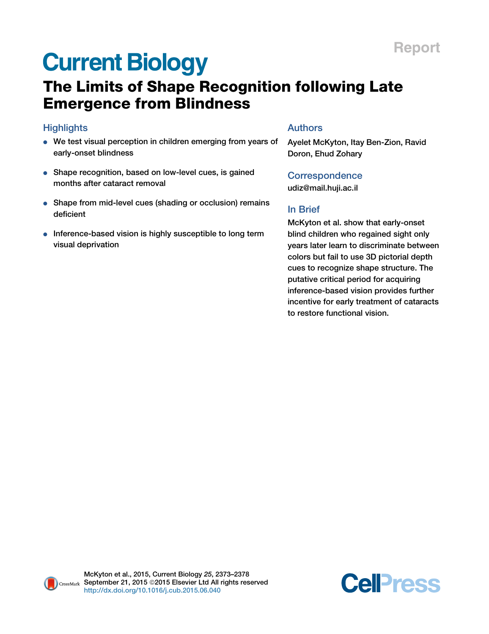# **Current Biology**

# The Limits of Shape Recognition following Late Emergence from Blindness

### **Highlights**

- We test visual perception in children emerging from years of early-onset blindness
- Shape recognition, based on low-level cues, is gained months after cataract removal
- Shape from mid-level cues (shading or occlusion) remains deficient
- Inference-based vision is highly susceptible to long term visual deprivation

### Authors

Ayelet McKyton, Itay Ben-Zion, Ravid Doron, Ehud Zohary

**Correspondence** [udiz@mail.huji.ac.il](mailto:udiz@mail.huji.ac.il)

## In Brief

McKyton et al. show that early-onset blind children who regained sight only years later learn to discriminate between colors but fail to use 3D pictorial depth cues to recognize shape structure. The putative critical period for acquiring inference-based vision provides further incentive for early treatment of cataracts to restore functional vision.



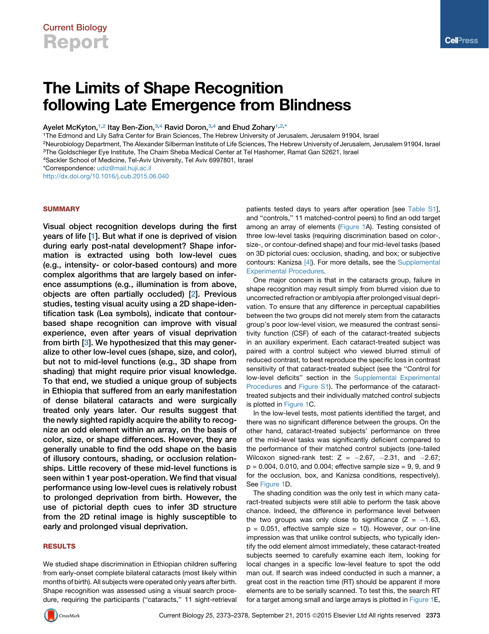# The Limits of Shape Recognition following Late Emergence from Blindness

Ayelet McKyton,<sup>[1,](#page-1-0)[2](#page-1-1)</sup> Itay Ben-Zion,<sup>[3,](#page-1-2)[4](#page-1-3)</sup> Ravid Doron,<sup>3,4</sup> and Ehud Zohary<sup>[1](#page-1-0)[,2](#page-1-1),[\\*](#page-1-4)</sup>

<span id="page-1-0"></span>1The Edmond and Lily Safra Center for Brain Sciences, The Hebrew University of Jerusalem, Jerusalem 91904, Israel

<span id="page-1-1"></span>2Neurobiology Department, The Alexander Silberman Institute of Life Sciences, The Hebrew University of Jerusalem, Jerusalem 91904, Israel

<span id="page-1-2"></span>3The Goldschleger Eye Institute, The Chaim Sheba Medical Center at Tel Hashomer, Ramat Gan 52621, Israel

<span id="page-1-3"></span>4Sackler School of Medicine, Tel-Aviv University, Tel Aviv 6997801, Israel

<span id="page-1-4"></span>\*Correspondence: [udiz@mail.huji.ac.il](mailto:udiz@mail.huji.ac.il)

<http://dx.doi.org/10.1016/j.cub.2015.06.040>

#### **SUMMARY**

Visual object recognition develops during the first years of life [\[1\]](#page-5-0). But what if one is deprived of vision during early post-natal development? Shape information is extracted using both low-level cues (e.g., intensity- or color-based contours) and more complex algorithms that are largely based on inference assumptions (e.g., illumination is from above, objects are often partially occluded) [[2](#page-5-1)]. Previous studies, testing visual acuity using a 2D shape-identification task (Lea symbols), indicate that contourbased shape recognition can improve with visual experience, even after years of visual deprivation from birth [[3](#page-5-2)]. We hypothesized that this may generalize to other low-level cues (shape, size, and color), but not to mid-level functions (e.g., 3D shape from shading) that might require prior visual knowledge. To that end, we studied a unique group of subjects in Ethiopia that suffered from an early manifestation of dense bilateral cataracts and were surgically treated only years later. Our results suggest that the newly sighted rapidly acquire the ability to recognize an odd element within an array, on the basis of color, size, or shape differences. However, they are generally unable to find the odd shape on the basis of illusory contours, shading, or occlusion relationships. Little recovery of these mid-level functions is seen within 1 year post-operation. We find that visual performance using low-level cues is relatively robust to prolonged deprivation from birth. However, the use of pictorial depth cues to infer 3D structure from the 2D retinal image is highly susceptible to early and prolonged visual deprivation.

#### RESULTS

We studied shape discrimination in Ethiopian children suffering from early-onset complete bilateral cataracts (most likely within months of birth). All subjects were operated only years after birth. Shape recognition was assessed using a visual search procedure, requiring the participants (''cataracts,'' 11 sight-retrieval patients tested days to years after operation [see Table S1], and ''controls,'' 11 matched-control peers) to find an odd target among an array of elements ([Figure 1](#page-2-0)A). Testing consisted of three low-level tasks (requiring discrimination based on color-, size-, or contour-defined shape) and four mid-level tasks (based on 3D pictorial cues: occlusion, shading, and box; or subjective contours: Kanizsa [\[4\]](#page-5-3)). For more details, see the Supplemental Experimental Procedures.

One major concern is that in the cataracts group, failure in shape recognition may result simply from blurred vision due to uncorrected refraction or amblyopia after prolonged visual deprivation. To ensure that any difference in perceptual capabilities between the two groups did not merely stem from the cataracts group's poor low-level vision, we measured the contrast sensitivity function (CSF) of each of the cataract-treated subjects in an auxiliary experiment. Each cataract-treated subject was paired with a control subject who viewed blurred stimuli of reduced contrast, to best reproduce the specific loss in contrast sensitivity of that cataract-treated subject (see the ''Control for low-level deficits'' section in the Supplemental Experimental Procedures and Figure S1). The performance of the cataracttreated subjects and their individually matched control subjects is plotted in [Figure 1](#page-2-0)C.

In the low-level tests, most patients identified the target, and there was no significant difference between the groups. On the other hand, cataract-treated subjects' performance on three of the mid-level tasks was significantly deficient compared to the performance of their matched control subjects (one-tailed Wilcoxon signed-rank test:  $Z = -2.67$ ,  $-2.31$ , and  $-2.67$ ;  $p = 0.004$ , 0.010, and 0.004; effective sample size = 9, 9, and 9 for the occlusion, box, and Kanizsa conditions, respectively). See [Figure 1D](#page-2-0).

The shading condition was the only test in which many cataract-treated subjects were still able to perform the task above chance. Indeed, the difference in performance level between the two groups was only close to significance  $(Z = -1.63$ ,  $p = 0.051$ , effective sample size = 10). However, our on-line impression was that unlike control subjects, who typically identify the odd element almost immediately, these cataract-treated subjects seemed to carefully examine each item, looking for local changes in a specific low-level feature to spot the odd man out. If search was indeed conducted in such a manner, a great cost in the reaction time (RT) should be apparent if more elements are to be serially scanned. To test this, the search RT for a target among small and large arrays is plotted in [Figure 1E](#page-2-0),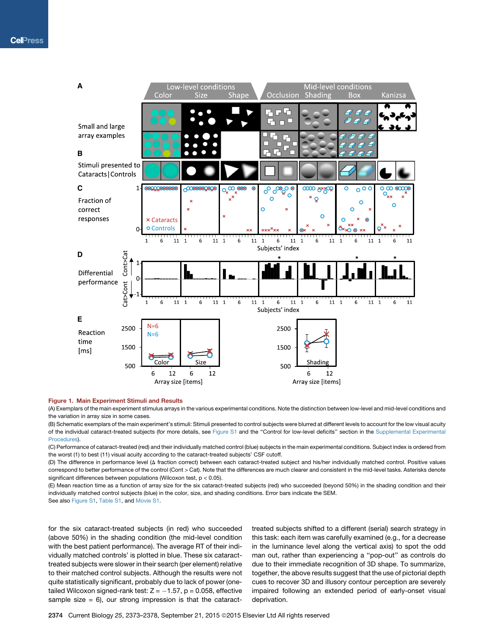<span id="page-2-0"></span>

#### Figure 1. Main Experiment Stimuli and Results

(A) Exemplars of the main experiment stimulus arrays in the various experimental conditions. Note the distinction between low-level and mid-level conditions and the variation in array size in some cases.

(B) Schematic exemplars of the main experiment's stimuli: Stimuli presented to control subjects were blurred at different levels to account for the low visual acuity of the individual cataract-treated subjects (for more details, see Figure S1 and the "Control for low-level deficits" section in the Supplemental Experimental Procedures).

(C) Performance of cataract-treated (red) and their individually matched control (blue) subjects in the main experimental conditions. Subject index is ordered from the worst (1) to best (11) visual acuity according to the cataract-treated subjects' CSF cutoff.

(D) The difference in performance level (D fraction correct) between each cataract-treated subject and his/her individually matched control. Positive values correspond to better performance of the control (Cont > Cat). Note that the differences are much clearer and consistent in the mid-level tasks. Asterisks denote significant differences between populations (Wilcoxon test, p < 0.05).

(E) Mean reaction time as a function of array size for the six cataract-treated subjects (red) who succeeded (beyond 50%) in the shading condition and their individually matched control subjects (blue) in the color, size, and shading conditions. Error bars indicate the SEM.

See also Figure S1, Table S1, and Movie S1.

for the six cataract-treated subjects (in red) who succeeded (above 50%) in the shading condition (the mid-level condition with the best patient performance). The average RT of their individually matched controls' is plotted in blue. These six cataracttreated subjects were slower in their search (per element) relative to their matched control subjects. Although the results were not quite statistically significant, probably due to lack of power (onetailed Wilcoxon signed-rank test:  $Z = -1.57$ ,  $p = 0.058$ , effective sample size  $= 6$ ), our strong impression is that the cataract-

treated subjects shifted to a different (serial) search strategy in this task: each item was carefully examined (e.g., for a decrease in the luminance level along the vertical axis) to spot the odd man out, rather than experiencing a ''pop-out'' as controls do due to their immediate recognition of 3D shape. To summarize, together, the above results suggest that the use of pictorial depth cues to recover 3D and illusory contour perception are severely impaired following an extended period of early-onset visual deprivation.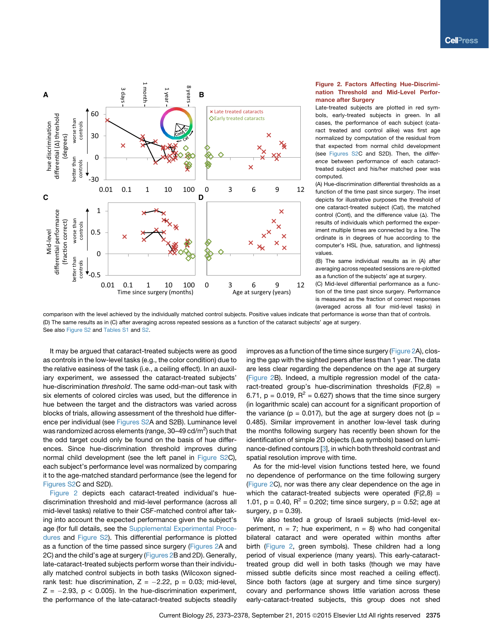<span id="page-3-0"></span>

#### Figure 2. Factors Affecting Hue-Discrimination Threshold and Mid-Level Performance after Surgery

Late-treated subjects are plotted in red symbols, early-treated subjects in green. In all cases, the performance of each subject (cataract treated and control alike) was first age normalized by computation of the residual from that expected from normal child development (see Figures S2C and S2D). Then, the *difference* between performance of each cataracttreated subject and his/her matched peer was computed.

(A) Hue-discrimination differential thresholds as a function of the time past since surgery. The inset depicts for illustrative purposes the threshold of one cataract-treated subject (Cat), the matched control (Cont), and the difference value  $(\Delta)$ . The results of individuals which performed the experiment multiple times are connected by a line. The ordinate is in degrees of hue according to the computer's HSL (hue, saturation, and lightness) values.

(B) The same individual results as in (A) after averaging across repeated sessions are re-plotted as a function of the subjects' age at surgery.

(C) Mid-level differential performance as a function of the time past since surgery. Performance is measured as the fraction of correct responses (averaged across all four mid-level tasks) in

comparison with the level achieved by the individually matched control subjects. Positive values indicate that performance is *worse* than that of controls. (D) The same results as in (C) after averaging across repeated sessions as a function of the cataract subjects' age at surgery. See also Figure S2 and Tables S1 and S2.

It may be argued that cataract-treated subjects were as good as controls in the low-level tasks (e.g., the color condition) due to the relative easiness of the task (i.e., a ceiling effect). In an auxiliary experiment, we assessed the cataract-treated subjects' hue-discrimination *threshold*. The same odd-man-out task with six elements of colored circles was used, but the difference in hue between the target and the distractors was varied across blocks of trials, allowing assessment of the threshold hue difference per individual (see Figures S2A and S2B). Luminance level was randomized across elements (range, 30–49 cd/m $^2$ ) such that the odd target could only be found on the basis of hue differences. Since hue-discrimination threshold improves during normal child development (see the left panel in Figure S2C), each subject's performance level was normalized by comparing it to the age-matched standard performance (see the legend for Figures S2C and S2D).

[Figure 2](#page-3-0) depicts each cataract-treated individual's huediscrimination threshold and mid-level performance (across all mid-level tasks) relative to their CSF-matched control after taking into account the expected performance given the subject's age (for full details, see the Supplemental Experimental Procedures and Figure S2). This differential performance is plotted as a function of the time passed since surgery ([Figures 2A](#page-3-0) and 2C) and the child's age at surgery ([Figures 2B](#page-3-0) and 2D). Generally, late-cataract-treated subjects perform worse than their individually matched control subjects in both tasks (Wilcoxon signedrank test: hue discrimination,  $Z = -2.22$ ,  $p = 0.03$ ; mid-level,  $Z = -2.93$ ,  $p < 0.005$ ). In the hue-discrimination experiment, the performance of the late-cataract-treated subjects steadily improves as a function of the time since surgery ([Figure 2A](#page-3-0)), closing the gap with the sighted peers after less than 1 year. The data are less clear regarding the dependence on the age at surgery [\(Figure 2](#page-3-0)B). Indeed, a multiple regression model of the cataract-treated group's hue-discrimination thresholds  $(F(2,8) =$ 6.71,  $p = 0.019$ ,  $R^2 = 0.627$ ) shows that the time since surgery (in logarithmic scale) can account for a significant proportion of the variance ( $p = 0.017$ ), but the age at surgery does not ( $p =$ 0.485). Similar improvement in another low-level task during the months following surgery has recently been shown for the identification of simple 2D objects (Lea symbols) based on luminance-defined contours [[3](#page-5-2)], in which both threshold contrast and spatial resolution improve with time.

As for the mid-level vision functions tested here, we found no dependence of performance on the time following surgery [\(Figure 2](#page-3-0)C), nor was there any clear dependence on the age in which the cataract-treated subjects were operated  $(F(2,8) =$ 1.01,  $p = 0.40$ ,  $R^2 = 0.202$ ; time since surgery,  $p = 0.52$ ; age at surgery,  $p = 0.39$ ).

We also tested a group of Israeli subjects (mid-level experiment,  $n = 7$ ; hue experiment,  $n = 8$ ) who had congenital bilateral cataract and were operated within months after birth [\(Figure 2](#page-3-0), green symbols). These children had a long period of visual experience (many years). This early-cataracttreated group did well in both tasks (though we may have missed subtle deficits since most reached a ceiling effect). Since both factors (age at surgery and time since surgery) covary and performance shows little variation across these early-cataract-treated subjects, this group does not shed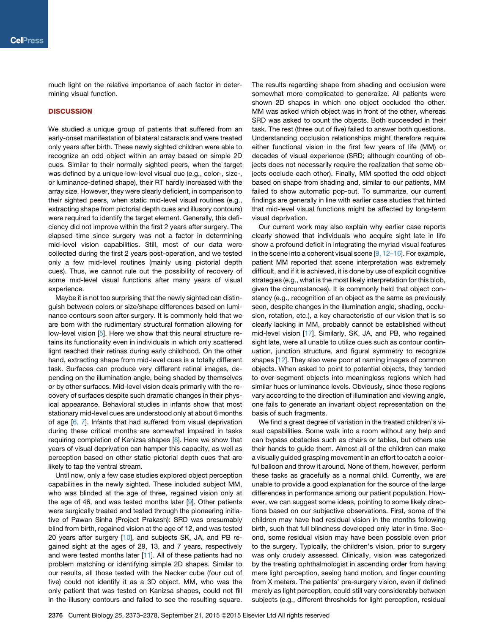much light on the relative importance of each factor in determining visual function.

#### **DISCUSSION**

We studied a unique group of patients that suffered from an early-onset manifestation of bilateral cataracts and were treated only years after birth. These newly sighted children were able to recognize an odd object within an array based on simple 2D cues. Similar to their normally sighted peers, when the target was defined by a unique low-level visual cue (e.g., color-, size-, or luminance-defined shape), their RT hardly increased with the array size. However, they were clearly deficient, in comparison to their sighted peers, when static mid-level visual routines (e.g., extracting shape from pictorial depth cues and illusory contours) were required to identify the target element. Generally, this deficiency did not improve within the first 2 years after surgery. The elapsed time since surgery was not a factor in determining mid-level vision capabilities. Still, most of our data were collected during the first 2 years post-operation, and we tested only a few mid-level routines (mainly using pictorial depth cues). Thus, we cannot rule out the possibility of recovery of some mid-level visual functions after many years of visual experience.

Maybe it is not too surprising that the newly sighted can distinguish between colors or size/shape differences based on luminance contours soon after surgery. It is commonly held that we are born with the rudimentary structural formation allowing for low-level vision [[5](#page-5-4)]. Here we show that this neural structure retains its functionality even in individuals in which only scattered light reached their retinas during early childhood. On the other hand, extracting shape from mid-level cues is a totally different task. Surfaces can produce very different retinal images, depending on the illumination angle, being shaded by themselves or by other surfaces. Mid-level vision deals primarily with the recovery of surfaces despite such dramatic changes in their physical appearance. Behavioral studies in infants show that most stationary mid-level cues are understood only at about 6 months of age [[6, 7\]](#page-5-5). Infants that had suffered from visual deprivation during these critical months are somewhat impaired in tasks requiring completion of Kanizsa shapes [\[8\]](#page-5-6). Here we show that years of visual deprivation can hamper this capacity, as well as perception based on other static pictorial depth cues that are likely to tap the ventral stream.

Until now, only a few case studies explored object perception capabilities in the newly sighted. These included subject MM, who was blinded at the age of three, regained vision only at the age of 46, and was tested months later [\[9\]](#page-5-7). Other patients were surgically treated and tested through the pioneering initiative of Pawan Sinha (Project Prakash): SRD was presumably blind from birth, regained vision at the age of 12, and was tested 20 years after surgery [[10\]](#page-5-8), and subjects SK, JA, and PB regained sight at the ages of 29, 13, and 7 years, respectively and were tested months later [\[11](#page-5-9)]. All of these patients had no problem matching or identifying simple 2D shapes. Similar to our results, all those tested with the Necker cube (four out of five) could not identify it as a 3D object. MM, who was the only patient that was tested on Kanizsa shapes, could not fill in the illusory contours and failed to see the resulting square.

The results regarding shape from shading and occlusion were somewhat more complicated to generalize. All patients were shown 2D shapes in which one object occluded the other. MM was asked which object was in front of the other, whereas SRD was asked to count the objects. Both succeeded in their task. The rest (three out of five) failed to answer both questions. Understanding occlusion relationships might therefore require either functional vision in the first few years of life (MM) or decades of visual experience (SRD; although counting of objects does not necessarily require the realization that some objects occlude each other). Finally, MM spotted the odd object based on shape from shading and, similar to our patients, MM failed to show automatic pop-out. To summarize, our current findings are generally in line with earlier case studies that hinted that mid-level visual functions might be affected by long-term visual deprivation.

Our current work may also explain why earlier case reports clearly showed that individuals who acquire sight late in life show a profound deficit in integrating the myriad visual features in the scene into a coherent visual scene [\[9, 12–16\]](#page-5-7). For example, patient MM reported that scene interpretation was extremely difficult, and if it is achieved, it is done by use of explicit cognitive strategies (e.g., what is the most likely interpretation for this blob, given the circumstances). It is commonly held that object constancy (e.g., recognition of an object as the same as previously seen, despite changes in the illumination angle, shading, occlusion, rotation, etc.), a key characteristic of our vision that is so clearly lacking in MM, probably cannot be established without mid-level vision [[17](#page-6-0)]. Similarly, SK, JA, and PB, who regained sight late, were all unable to utilize cues such as contour continuation, junction structure, and figural symmetry to recognize shapes [[12](#page-5-10)]. They also were poor at naming images of common objects. When asked to point to potential objects, they tended to over-segment objects into meaningless regions which had similar hues or luminance levels. Obviously, since these regions vary according to the direction of illumination and viewing angle, one fails to generate an invariant object representation on the basis of such fragments.

We find a great degree of variation in the treated children's visual capabilities. Some walk into a room without any help and can bypass obstacles such as chairs or tables, but others use their hands to guide them. Almost all of the children can make a visually guided grasping movement in an effort to catch a colorful balloon and throw it around. None of them, however, perform these tasks as gracefully as a normal child. Currently, we are unable to provide a good explanation for the source of the large differences in performance among our patient population. However, we can suggest some ideas, pointing to some likely directions based on our subjective observations. First, some of the children may have had residual vision in the months following birth, such that full blindness developed only later in time. Second, some residual vision may have been possible even prior to the surgery. Typically, the children's vision, prior to surgery was only crudely assessed. Clinically, vision was categorized by the treating ophthalmologist in ascending order from having mere light perception, seeing hand motion, and finger counting from X meters. The patients' pre-surgery vision, even if defined merely as light perception, could still vary considerably between subjects (e.g., different thresholds for light perception, residual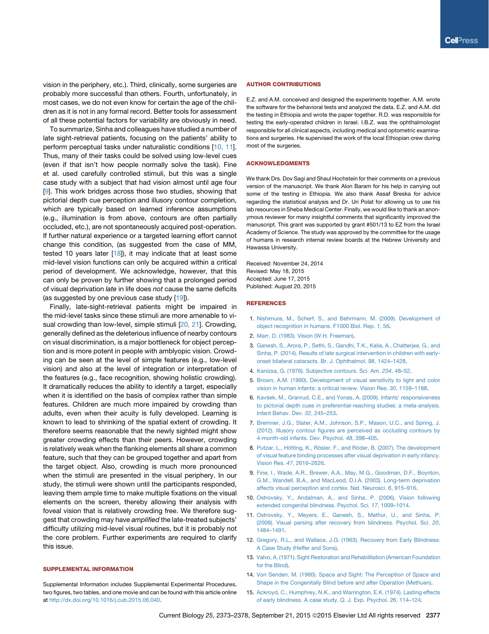vision in the periphery, etc.). Third, clinically, some surgeries are probably more successful than others. Fourth, unfortunately, in most cases, we do not even know for certain the age of the children as it is not in any formal record. Better tools for assessment of all these potential factors for variability are obviously in need.

To summarize, Sinha and colleagues have studied a number of late sight-retrieval patients, focusing on the patients' ability to perform perceptual tasks under naturalistic conditions [[10, 11\]](#page-5-8). Thus, many of their tasks could be solved using low-level cues (even if that isn't how people normally solve the task). Fine et al. used carefully controlled stimuli, but this was a single case study with a subject that had vision almost until age four [\[9\]](#page-5-7). This work bridges across those two studies, showing that pictorial depth cue perception and illusory contour completion, which are typically based on learned inference assumptions (e.g., illumination is from above, contours are often partially occluded, etc.), are not spontaneously acquired post-operation. If further natural experience or a targeted learning effort cannot change this condition, (as suggested from the case of MM, tested 10 years later  $[18]$  $[18]$  $[18]$ , it may indicate that at least some mid-level vision functions can only be acquired within a critical period of development. We acknowledge, however, that this can only be proven by further showing that a prolonged period of visual deprivation *late* in life does *not* cause the same deficits (as suggested by one previous case study [\[19](#page-6-2)]).

Finally, late-sight-retrieval patients might be impaired in the mid-level tasks since these stimuli are more amenable to visual crowding than low-level, simple stimuli [\[20, 21](#page-6-3)]. Crowding, generally defined as the deleterious influence of nearby contours on visual discrimination, is a major bottleneck for object perception and is more potent in people with amblyopic vision. Crowding can be seen at the level of simple features (e.g., low-level vision) and also at the level of integration or interpretation of the features (e.g., face recognition, showing holistic crowding). It dramatically reduces the ability to identify a target, especially when it is identified on the basis of complex rather than simple features. Children are much more impaired by crowding than adults, even when their acuity is fully developed. Learning is known to lead to shrinking of the spatial extent of crowding. It therefore seems reasonable that the newly sighted might show greater crowding effects than their peers. However, crowding is relatively weak when the flanking elements all share a common feature, such that they can be grouped together and apart from the target object. Also, crowding is much more pronounced when the stimuli are presented in the visual periphery. In our study, the stimuli were shown until the participants responded, leaving them ample time to make multiple fixations on the visual elements on the screen, thereby allowing their analysis with foveal vision that is relatively crowding free. We therefore suggest that crowding may have *amplified* the late-treated subjects' difficulty utilizing mid-level visual routines, but it is probably not the core problem. Further experiments are required to clarify this issue.

#### SUPPLEMENTAL INFORMATION

Supplemental Information includes Supplemental Experimental Procedures, two figures, two tables, and one movie and can be found with this article online at <http://dx.doi.org/10.1016/j.cub.2015.06.040>.

#### AUTHOR CONTRIBUTIONS

E.Z. and A.M. conceived and designed the experiments together. A.M. wrote the software for the behavioral tests and analyzed the data. E.Z. and A.M. did the testing in Ethiopia and wrote the paper together. R.D. was responsible for testing the early-operated children in Israel. I.B.Z. was the ophthalmologist responsible for all clinical aspects, including medical and optometric examinations and surgeries. He supervised the work of the local Ethiopian crew during most of the surgeries.

#### ACKNOWLEDGMENTS

We thank Drs. Dov Sagi and Shaul Hochstein for their comments on a previous version of the manuscript. We thank Alon Baram for his help in carrying out some of the testing in Ethiopia. We also thank Assaf Breska for advice regarding the statistical analysis and Dr. Uri Polat for allowing us to use his lab resources in Sheba Medical Center. Finally, we would like to thank an anonymous reviewer for many insightful comments that significantly improved the manuscript. This grant was supported by grant #501/13 to EZ from the Israel Academy of Science. The study was approved by the committee for the usage of humans in research internal review boards at the Hebrew University and Hawassa University.

Received: November 24, 2014 Revised: May 18, 2015 Accepted: June 17, 2015 Published: August 20, 2015

#### **REFERENCES**

- <span id="page-5-0"></span>1. [Nishimura, M., Scherf, S., and Behrmann, M. \(2009\). Development of](http://refhub.elsevier.com/S0960-9822(15)00734-4/sref1) [object recognition in humans. F1000 Biol. Rep.](http://refhub.elsevier.com/S0960-9822(15)00734-4/sref1) *1*, 56.
- <span id="page-5-2"></span><span id="page-5-1"></span>2. [Marr, D. \(1983\). Vision \(W.H. Freeman\)](http://refhub.elsevier.com/S0960-9822(15)00734-4/sref2).
- 3. [Ganesh, S., Arora, P., Sethi, S., Gandhi, T.K., Kalia, A., Chatterjee, G., and](http://refhub.elsevier.com/S0960-9822(15)00734-4/sref3) [Sinha, P. \(2014\). Results of late surgical intervention in children with early](http://refhub.elsevier.com/S0960-9822(15)00734-4/sref3)[onset bilateral cataracts. Br. J. Ophthalmol.](http://refhub.elsevier.com/S0960-9822(15)00734-4/sref3) *98*, 1424–1428.
- <span id="page-5-4"></span><span id="page-5-3"></span>4. [Kanizsa, G. \(1976\). Subjective contours. Sci. Am.](http://refhub.elsevier.com/S0960-9822(15)00734-4/sref4) *234*, 48–52.
- 5. [Brown, A.M. \(1990\). Development of visual sensitivity to light and color](http://refhub.elsevier.com/S0960-9822(15)00734-4/sref5) [vision in human infants: a critical review. Vision Res.](http://refhub.elsevier.com/S0960-9822(15)00734-4/sref5) *30*, 1159–1188.
- <span id="page-5-5"></span>6. [Kav](http://refhub.elsevier.com/S0960-9822(15)00734-4/sref6)[sek, M., Granrud, C.E., and Yonas, A. \(2009\). Infants' responsiveness](http://refhub.elsevier.com/S0960-9822(15)00734-4/sref6) [to pictorial depth cues in preferential-reaching studies: a meta-analysis.](http://refhub.elsevier.com/S0960-9822(15)00734-4/sref6) [Infant Behav. Dev.](http://refhub.elsevier.com/S0960-9822(15)00734-4/sref6) *32*, 245–253.
- 7. [Bremner, J.G., Slater, A.M., Johnson, S.P., Mason, U.C., and Spring, J.](http://refhub.elsevier.com/S0960-9822(15)00734-4/sref7) [\(2012\). Illusory contour figures are perceived as occluding contours by](http://refhub.elsevier.com/S0960-9822(15)00734-4/sref7) [4-month-old infants. Dev. Psychol.](http://refhub.elsevier.com/S0960-9822(15)00734-4/sref7) *48*, 398–405.
- <span id="page-5-6"></span>8. Putzar, L., Hötting, K., Rösler, F., and Rö[der, B. \(2007\). The development](http://refhub.elsevier.com/S0960-9822(15)00734-4/sref8) [of visual feature binding processes after visual deprivation in early infancy.](http://refhub.elsevier.com/S0960-9822(15)00734-4/sref8) Vision Res. *47*[, 2616–2626.](http://refhub.elsevier.com/S0960-9822(15)00734-4/sref8)
- <span id="page-5-7"></span>9. [Fine, I., Wade, A.R., Brewer, A.A., May, M.G., Goodman, D.F., Boynton,](http://refhub.elsevier.com/S0960-9822(15)00734-4/sref9) [G.M., Wandell, B.A., and MacLeod, D.I.A. \(2003\). Long-term deprivation](http://refhub.elsevier.com/S0960-9822(15)00734-4/sref9) [affects visual perception and cortex. Nat. Neurosci.](http://refhub.elsevier.com/S0960-9822(15)00734-4/sref9) *6*, 915–916.
- <span id="page-5-9"></span><span id="page-5-8"></span>10. [Ostrovsky, Y., Andalman, A., and Sinha, P. \(2006\). Vision following](http://refhub.elsevier.com/S0960-9822(15)00734-4/sref10) [extended congenital blindness. Psychol. Sci.](http://refhub.elsevier.com/S0960-9822(15)00734-4/sref10) *17*, 1009–1014.
- 11. [Ostrovsky, Y., Meyers, E., Ganesh, S., Mathur, U., and Sinha, P.](http://refhub.elsevier.com/S0960-9822(15)00734-4/sref11) [\(2009\). Visual parsing after recovery from blindness. Psychol. Sci.](http://refhub.elsevier.com/S0960-9822(15)00734-4/sref11) *20*, [1484–1491](http://refhub.elsevier.com/S0960-9822(15)00734-4/sref11).
- <span id="page-5-10"></span>12. [Gregory, R.L., and Wallace, J.G. \(1963\). Recovery from Early Blindness:](http://refhub.elsevier.com/S0960-9822(15)00734-4/sref12) [A Case Study \(Heffer and Sons\).](http://refhub.elsevier.com/S0960-9822(15)00734-4/sref12)
- 13. [Valvo, A. \(1971\). Sight Restoration and Rehabilitation \(American Foundation](http://refhub.elsevier.com/S0960-9822(15)00734-4/sref13) [for the Blind\)](http://refhub.elsevier.com/S0960-9822(15)00734-4/sref13).
- 14. [Von Senden, M. \(1960\). Space and Sight: The Perception of Space and](http://refhub.elsevier.com/S0960-9822(15)00734-4/sref14) [Shape in the Congenitally Blind before and after Operation \(Methuen\)](http://refhub.elsevier.com/S0960-9822(15)00734-4/sref14).
- 15. [Ackroyd, C., Humphrey, N.K., and Warrington, E.K. \(1974\). Lasting effects](http://refhub.elsevier.com/S0960-9822(15)00734-4/sref15) [of early blindness. A case study. Q. J. Exp. Psychol.](http://refhub.elsevier.com/S0960-9822(15)00734-4/sref15) *26*, 114–124.